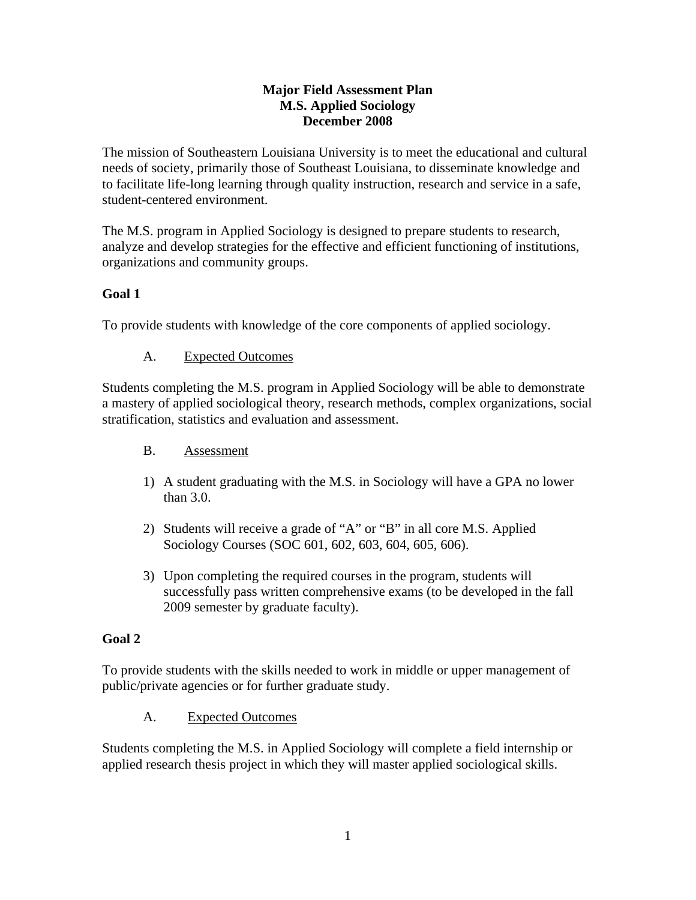#### **Major Field Assessment Plan M.S. Applied Sociology December 2008**

The mission of Southeastern Louisiana University is to meet the educational and cultural needs of society, primarily those of Southeast Louisiana, to disseminate knowledge and to facilitate life-long learning through quality instruction, research and service in a safe, student-centered environment.

The M.S. program in Applied Sociology is designed to prepare students to research, analyze and develop strategies for the effective and efficient functioning of institutions, organizations and community groups.

# **Goal 1**

To provide students with knowledge of the core components of applied sociology.

# A. Expected Outcomes

Students completing the M.S. program in Applied Sociology will be able to demonstrate a mastery of applied sociological theory, research methods, complex organizations, social stratification, statistics and evaluation and assessment.

## B. Assessment

- 1) A student graduating with the M.S. in Sociology will have a GPA no lower than 3.0.
- 2) Students will receive a grade of "A" or "B" in all core M.S. Applied Sociology Courses (SOC 601, 602, 603, 604, 605, 606).
- 3) Upon completing the required courses in the program, students will successfully pass written comprehensive exams (to be developed in the fall 2009 semester by graduate faculty).

## **Goal 2**

To provide students with the skills needed to work in middle or upper management of public/private agencies or for further graduate study.

## A. Expected Outcomes

Students completing the M.S. in Applied Sociology will complete a field internship or applied research thesis project in which they will master applied sociological skills.